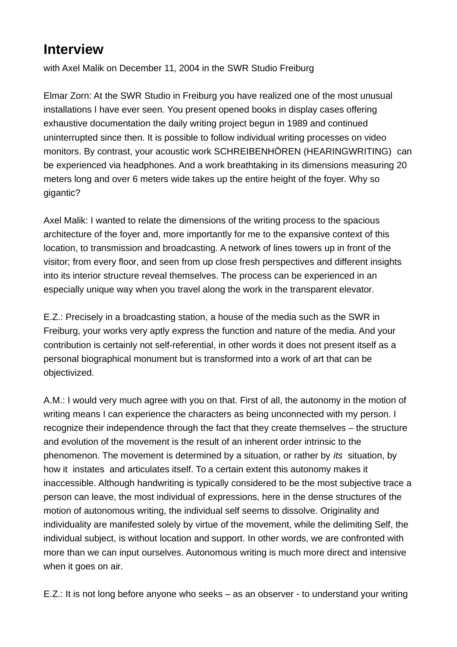## **Interview**

with Axel Malik on December 11, 2004 in the SWR Studio Freiburg

Elmar Zorn: At the SWR Studio in Freiburg you have realized one of the most unusual installations I have ever seen. You present opened books in display cases offering exhaustive documentation the daily writing project begun in 1989 and continued uninterrupted since then. It is possible to follow individual writing processes on video monitors. By contrast, your acoustic work SCHREIBENHÖREN (HEARINGWRITING)can be experienced via headphones. And a work breathtaking in its dimensions measuring 20 meters long and over 6 meters wide takes up the entire height of the foyer. Why so gigantic?

Axel Malik: I wanted to relate the dimensions of the writing process to the spacious architecture of the foyer and, more importantly for me to the expansive context of this location, to transmission and broadcasting. A network of lines towers up in front of the visitor; from every floor, and seen from up close fresh perspectives and different insights into its interior structure reveal themselves. The process can be experienced in an especially unique way when you travel along the work in the transparent elevator.

E.Z.: Precisely in a broadcasting station, a house of the media such as the SWR in Freiburg, your works very aptly express the function and nature of the media. And your contribution is certainly not self-referential, in other words it does not present itself as a personal biographical monument but is transformed into a work of art that can be objectivized.

A.M.: I would very much agree with you on that. First of all, the autonomy in the motion of writing means I can experience the characters as being unconnected with my person. I recognize their independence through the fact that they create themselves – the structure and evolution of the movement is the result of an inherent order intrinsic to the phenomenon. The movement is determined by a situation, or rather by its situation, by how it instates and articulates itself. To a certain extent this autonomy makes it inaccessible. Although handwriting is typically considered to be the most subjective trace a person can leave, the most individual of expressions, here in the dense structures of the motion of autonomous writing, the individual self seems to dissolve. Originality and individuality are manifested solely by virtue of the movement, while the delimiting Self, the individual subject, is without location and support. In other words, we are confronted with more than we can input ourselves. Autonomous writing is much more direct and intensive when it goes on air.

E.Z.: It is not long before anyone who seeks – as an observer - to understand your writing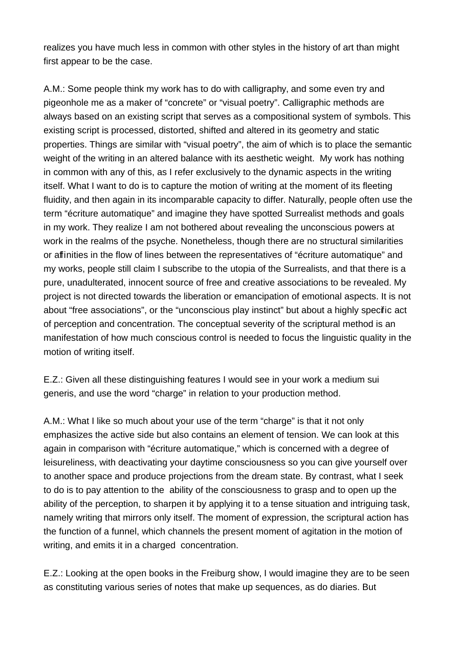realizes you have much less in common with other styles in the history of art than might first appear to be the case.

A.M.: Some people think my work has to do with calligraphy, and some even try and pigeonhole me as a maker of "concrete" or "visual poetry". Calligraphic methods are always based on an existing script that serves as a compositional system of symbols. This existing script is processed, distorted, shifted and altered in its geometry and static properties. Things are similar with "visual poetry", the aim of which is to place the semantic weight of the writing in an altered balance with its aesthetic weight. My work has nothing in common with any of this, as I refer exclusively to the dynamic aspects in the writing itself. What I want to do is to capture the motion of writing at the moment of its fleeting fluidity, and then again in its incomparable capacity to differ. Naturally, people often use the term "écriture automatique" and imagine they have spotted Surrealist methods and goals in my work. They realize I am not bothered about revealing the unconscious powers at work in the realms of the psyche. Nonetheless, though there are no structural similarities or affinities in the flow of lines between the representatives of "écriture automatique" and my works, people still claim I subscribe to the utopia of the Surrealists, and that there is a pure, unadulterated, innocent source of free and creative associations to be revealed. My project is not directed towards the liberation or emancipation of emotional aspects. It is not about "free associations", or the "unconscious play instinct" but about a highly specific act of perception and concentration. The conceptual severity of the scriptural method is an manifestation of how much conscious control is needed to focus the linguistic quality in the motion of writing itself.

E.Z.: Given all these distinguishing features I would see in your work a medium sui generis, and use the word "charge" in relation to your production method.

A.M.: What I like so much about your use of the term "charge" is that it not only emphasizes the active side but also contains an element of tension. We can look at this again in comparison with "écriture automatique," which is concerned with a degree of leisureliness, with deactivating your daytime consciousness so you can give yourself over to another space and produce projections from the dream state. By contrast, what I seek to do is to pay attention to the ability of the consciousness to grasp and to open up the ability of the perception, to sharpen it by applying it to a tense situation and intriguing task, namely writing that mirrors only itself. The moment of expression, the scriptural action has the function of a funnel, which channels the present moment of agitation in the motion of writing, and emits it in a charged concentration.

E.Z.: Looking at the open books in the Freiburg show, I would imagine they are to be seen as constituting various series of notes that make up sequences, as do diaries. But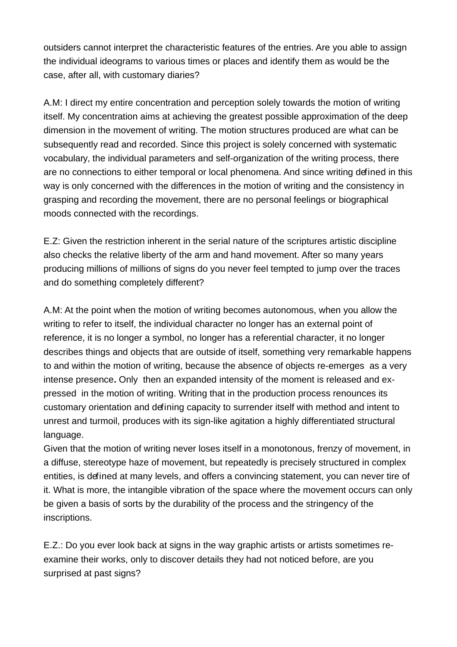outsiders cannot interpret the characteristic features of the entries. Are you able to assign the individual ideograms to various times or places and identify them as would be the case, after all, with customary diaries?

A.M: I direct my entire concentration and perception solely towards the motion of writing itself. My concentration aims at achieving the greatest possible approximation of the deep dimension in the movement of writing. The motion structures produced are what can be subsequently read and recorded. Since this project is solely concerned with systematic vocabulary, the individual parameters and self-organization of the writing process, there are no connections to either temporal or local phenomena. And since writing defined in this way is only concerned with the differences in the motion of writing and the consistency in grasping and recording the movement, there are no personal feelings or biographical moods connected with the recordings.

E.Z: Given the restriction inherent in the serial nature of the scriptures artistic discipline also checks the relative liberty of the arm and hand movement. After so many years producing millions of millions of signs do you never feel tempted to jump over the traces and do something completely different?

A.M: At the point when the motion of writing becomes autonomous, when you allow the writing to refer to itself, the individual character no longer has an external point of reference, it is no longer a symbol, no longer has a referential character, it no longer describes things and objects that are outside of itself, something very remarkable happens to and within the motion of writing, because the absence of objects re-emerges as a very intense presence**.** Only then an expanded intensity of the moment is released and expressed in the motion of writing. Writing that in the production process renounces its customary orientation and defining capacity to surrender itself with method and intent to unrest and turmoil, produces with its sign-like agitation a highly differentiated structural language.

Given that the motion of writing never loses itself in a monotonous, frenzy of movement, in a diffuse, stereotype haze of movement, but repeatedly is precisely structured in complex entities, is defined at many levels, and offers a convincing statement, you can never tire of it. What is more, the intangible vibration of the space where the movement occurs can only be given a basis of sorts by the durability of the process and the stringency of the inscriptions.

E.Z.: Do you ever look back at signs in the way graphic artists or artists sometimes reexamine their works, only to discover details they had not noticed before, are you surprised at past signs?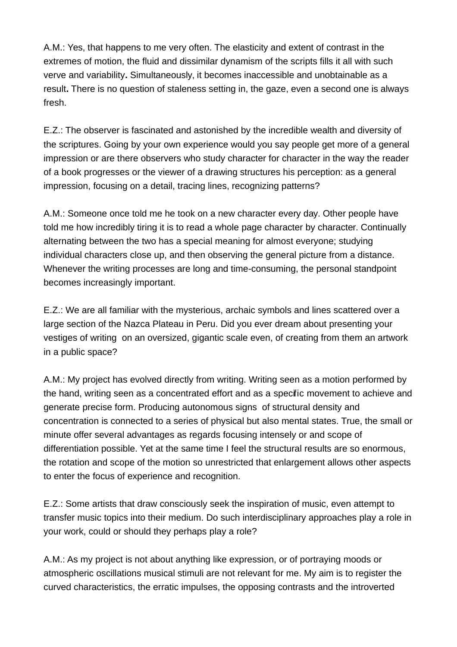A.M.: Yes, that happens to me very often. The elasticity and extent of contrast in the extremes of motion, the fluid and dissimilar dynamism of the scripts fills it all with such verve and variability**.** Simultaneously, it becomes inaccessible and unobtainable as a result**.** There is no question of staleness setting in, the gaze, even a second one is always fresh.

E.Z.: The observer is fascinated and astonished by the incredible wealth and diversity of the scriptures. Going by your own experience would you say people get more of a general impression or are there observers who study character for character in the way the reader of a book progresses or the viewer of a drawing structures his perception: as a general impression, focusing on a detail, tracing lines, recognizing patterns?

A.M.: Someone once told me he took on a new character every day. Other people have told me how incredibly tiring it is to read a whole page character by character. Continually alternating between the two has a special meaning for almost everyone; studying individual characters close up, and then observing the general picture from a distance. Whenever the writing processes are long and time-consuming, the personal standpoint becomes increasingly important.

E.Z.: We are all familiar with the mysterious, archaic symbols and lines scattered over a large section of the Nazca Plateau in Peru. Did you ever dream about presenting your vestiges of writing on an oversized, gigantic scale even, of creating from them an artwork in a public space?

A.M.: My project has evolved directly from writing. Writing seen as a motion performed by the hand, writing seen as a concentrated effort and as a specific movement to achieve and generate precise form. Producing autonomous signs of structural density and concentration is connected to a series of physical but also mental states. True, the small or minute offer several advantages as regards focusing intensely or and scope of differentiation possible. Yet at the same time I feel the structural results are so enormous, the rotation and scope of the motion so unrestricted that enlargement allows other aspects to enter the focus of experience and recognition.

E.Z.: Some artists that draw consciously seek the inspiration of music, even attempt to transfer music topics into their medium. Do such interdisciplinary approaches play a role in your work, could or should they perhaps play a role?

A.M.: As my project is not about anything like expression, or of portraying moods or atmospheric oscillations musical stimuli are not relevant for me. My aim is to register the curved characteristics, the erratic impulses, the opposing contrasts and the introverted